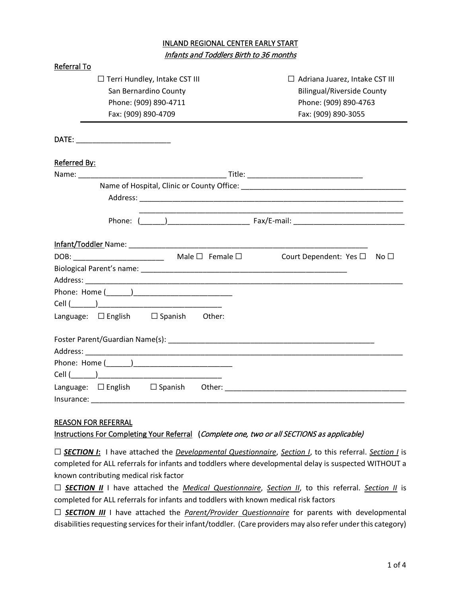## INLAND REGIONAL CENTER EARLY START Infants and Toddlers Birth to 36 months

| Referral To                            |                                       |  |  |  |  |  |
|----------------------------------------|---------------------------------------|--|--|--|--|--|
| $\Box$ Terri Hundley, Intake CST III   | $\Box$ Adriana Juarez, Intake CST III |  |  |  |  |  |
| San Bernardino County                  | <b>Bilingual/Riverside County</b>     |  |  |  |  |  |
| Phone: (909) 890-4711                  | Phone: (909) 890-4763                 |  |  |  |  |  |
| Fax: (909) 890-4709                    | Fax: (909) 890-3055                   |  |  |  |  |  |
|                                        |                                       |  |  |  |  |  |
| Referred By:                           |                                       |  |  |  |  |  |
|                                        |                                       |  |  |  |  |  |
|                                        |                                       |  |  |  |  |  |
|                                        |                                       |  |  |  |  |  |
|                                        |                                       |  |  |  |  |  |
|                                        |                                       |  |  |  |  |  |
| $DOB:$ Male $\square$ Female $\square$ | Court Dependent: Yes □ No □           |  |  |  |  |  |
|                                        |                                       |  |  |  |  |  |
|                                        |                                       |  |  |  |  |  |
|                                        |                                       |  |  |  |  |  |
|                                        |                                       |  |  |  |  |  |
| Language: □ English □ Spanish Other:   |                                       |  |  |  |  |  |
|                                        |                                       |  |  |  |  |  |
|                                        |                                       |  |  |  |  |  |
|                                        |                                       |  |  |  |  |  |
|                                        |                                       |  |  |  |  |  |
|                                        |                                       |  |  |  |  |  |
| Insurance:                             |                                       |  |  |  |  |  |

#### REASON FOR REFERRAL

Instructions For Completing Your Referral (Complete one, two or all SECTIONS as applicable)

☐ *SECTION I***:** I have attached the *Developmental Questionnaire*, *Section I*, to this referral. *Section I* is completed for ALL referrals for infants and toddlers where developmental delay is suspected WITHOUT a known contributing medical risk factor

☐ *SECTION II* I have attached the *Medical Questionnaire*, *Section II*, to this referral. *Section II* is completed for ALL referrals for infants and toddlers with known medical risk factors

□ **SECTION III** I have attached the *Parent/Provider Questionnaire* for parents with developmental disabilities requesting services for their infant/toddler. (Care providers may also refer under this category)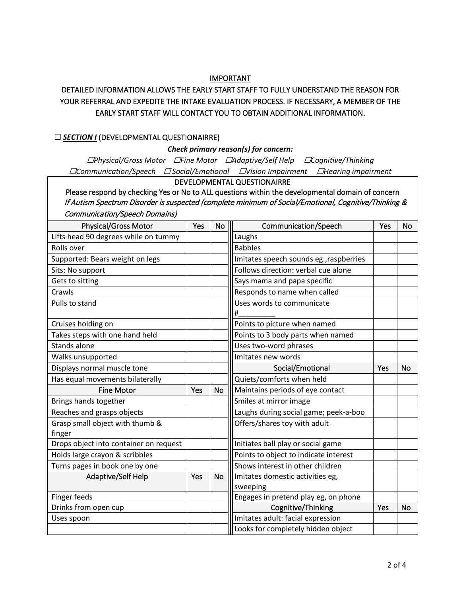#### IMPORTANT

## DETAILED INFORMATION ALLOWS THE EARLY START STAFF TO FULLY UNDERSTAND THE REASON FOR YOUR REFERRAL AND EXPEDITE THE INTAKE EVALUATION PROCESS. IF NECESSARY, A MEMBER OF THE EARLY START STAFF WILL CONTACT YOU TO OBTAIN ADDITIONAL INFORMATION.

#### □ **SECTION I** (DEVELOPMENTAL QUESTIONAIRRE)

### *Check primary reason(s) for concern:*

☐*Physical/Gross Motor* ☐*Fine Motor* ☐*Adaptive/Self Help* ☐*Cognitive/Thinking*  ☐*Communication/Speech* ☐ *Social/Emotional* ☐*Vision Impairment* ☐*Hearing impairment*

#### DEVELOPMENTAL QUESTIONAIRRE

Please respond by checking Yes or No to ALL questions within the developmental domain of concern If Autism Spectrum Disorder is suspected (complete minimum of Social/Emotional, Cognitive/Thinking & Communication/Speech Domains)

| <b>Physical/Gross Motor</b>               | Yes | No        | Communication/Speech                    |     | No        |
|-------------------------------------------|-----|-----------|-----------------------------------------|-----|-----------|
| Lifts head 90 degrees while on tummy      |     |           | Laughs                                  |     |           |
| Rolls over                                |     |           | <b>Babbles</b>                          |     |           |
| Supported: Bears weight on legs           |     |           | Imitates speech sounds eg., raspberries |     |           |
| Sits: No support                          |     |           | Follows direction: verbal cue alone     |     |           |
| Gets to sitting                           |     |           | Says mama and papa specific             |     |           |
| Crawls                                    |     |           | Responds to name when called            |     |           |
| Pulls to stand                            |     |           | Uses words to communicate               |     |           |
|                                           |     |           | #                                       |     |           |
| Cruises holding on                        |     |           | Points to picture when named            |     |           |
| Takes steps with one hand held            |     |           | Points to 3 body parts when named       |     |           |
| Stands alone                              |     |           | Uses two-word phrases                   |     |           |
| Walks unsupported                         |     |           | Imitates new words                      |     |           |
| Displays normal muscle tone               |     |           | Social/Emotional                        | Yes | <b>No</b> |
| Has equal movements bilaterally           |     |           | Quiets/comforts when held               |     |           |
| <b>Fine Motor</b>                         | Yes | <b>No</b> | Maintains periods of eye contact        |     |           |
| Brings hands together                     |     |           | Smiles at mirror image                  |     |           |
| Reaches and grasps objects                |     |           | Laughs during social game; peek-a-boo   |     |           |
| Grasp small object with thumb &<br>finger |     |           | Offers/shares toy with adult            |     |           |
| Drops object into container on request    |     |           | Initiates ball play or social game      |     |           |
| Holds large crayon & scribbles            |     |           | Points to object to indicate interest   |     |           |
| Turns pages in book one by one            |     |           | Shows interest in other children        |     |           |
| Adaptive/Self Help                        | Yes | <b>No</b> | Imitates domestic activities eg,        |     |           |
|                                           |     |           | sweeping                                |     |           |
| Finger feeds                              |     |           | Engages in pretend play eg, on phone    |     |           |
| Drinks from open cup                      |     |           | Cognitive/Thinking                      | Yes | No        |
| Uses spoon                                |     |           | Imitates adult: facial expression       |     |           |
|                                           |     |           | Looks for completely hidden object      |     |           |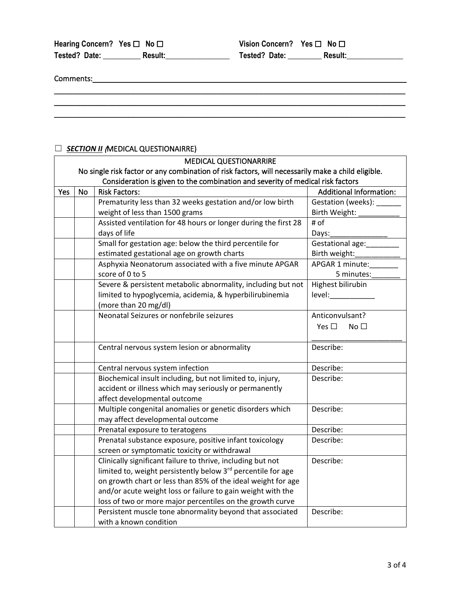| Hearing Concern? Yes $\Box$ No $\Box$ |                | Vision Concern? Yes $\square$ No $\square$ |                |
|---------------------------------------|----------------|--------------------------------------------|----------------|
| Tested? Date:                         | <b>Result:</b> | Tested? Date:                              | <b>Result:</b> |

 $\mathcal{L}_\mathcal{L} = \{ \mathcal{L}_\mathcal{L} = \{ \mathcal{L}_\mathcal{L} = \{ \mathcal{L}_\mathcal{L} = \{ \mathcal{L}_\mathcal{L} = \{ \mathcal{L}_\mathcal{L} = \{ \mathcal{L}_\mathcal{L} = \{ \mathcal{L}_\mathcal{L} = \{ \mathcal{L}_\mathcal{L} = \{ \mathcal{L}_\mathcal{L} = \{ \mathcal{L}_\mathcal{L} = \{ \mathcal{L}_\mathcal{L} = \{ \mathcal{L}_\mathcal{L} = \{ \mathcal{L}_\mathcal{L} = \{ \mathcal{L}_\mathcal{$ \_\_\_\_\_\_\_\_\_\_\_\_\_\_\_\_\_\_\_\_\_\_\_\_\_\_\_\_\_\_\_\_\_\_\_\_\_\_\_\_\_\_\_\_\_\_\_\_\_\_\_\_\_\_\_\_\_\_\_\_\_\_\_\_\_\_\_\_\_\_\_\_\_\_\_\_\_\_\_\_\_\_\_\_\_ \_\_\_\_\_\_\_\_\_\_\_\_\_\_\_\_\_\_\_\_\_\_\_\_\_\_\_\_\_\_\_\_\_\_\_\_\_\_\_\_\_\_\_\_\_\_\_\_\_\_\_\_\_\_\_\_\_\_\_\_\_\_\_\_\_\_\_\_\_\_\_\_\_\_\_\_\_\_\_\_\_\_\_\_\_

Comments:\_\_\_\_\_\_\_\_\_\_\_\_\_\_\_\_\_\_\_\_\_\_\_\_\_\_\_\_\_\_\_\_\_\_\_\_\_\_\_\_\_\_\_\_\_\_\_\_\_\_\_\_\_\_\_\_\_\_\_\_\_\_\_\_\_\_\_\_\_\_\_\_\_\_\_\_

## ☐ *SECTION II* (MEDICAL QUESTIONAIRRE)

|     |           | <b>SECTION II (MEDICAL QUESTIONAIRRE)</b>                                                         |                                  |
|-----|-----------|---------------------------------------------------------------------------------------------------|----------------------------------|
|     |           | <b>MEDICAL QUESTIONARRIRE</b>                                                                     |                                  |
|     |           | No single risk factor or any combination of risk factors, will necessarily make a child eligible. |                                  |
|     |           | Consideration is given to the combination and severity of medical risk factors                    |                                  |
| Yes | <b>No</b> | <b>Risk Factors:</b>                                                                              | <b>Additional Information:</b>   |
|     |           | Prematurity less than 32 weeks gestation and/or low birth                                         | Gestation (weeks):               |
|     |           | weight of less than 1500 grams                                                                    | Birth Weight:                    |
|     |           | Assisted ventilation for 48 hours or longer during the first 28                                   | # of                             |
|     |           | days of life                                                                                      | Days:                            |
|     |           | Small for gestation age: below the third percentile for                                           | Gestational age:                 |
|     |           | estimated gestational age on growth charts                                                        | Birth weight:                    |
|     |           | Asphyxia Neonatorum associated with a five minute APGAR                                           | APGAR 1 minute:                  |
|     |           | score of 0 to 5                                                                                   | 5 minutes:                       |
|     |           | Severe & persistent metabolic abnormality, including but not                                      | Highest bilirubin                |
|     |           | limited to hypoglycemia, acidemia, & hyperbilirubinemia                                           | level:                           |
|     |           | (more than 20 mg/dl)                                                                              |                                  |
|     |           | Neonatal Seizures or nonfebrile seizures                                                          | Anticonvulsant?                  |
|     |           |                                                                                                   | Yes $\square$<br>No <sub>1</sub> |
|     |           |                                                                                                   |                                  |
|     |           | Central nervous system lesion or abnormality                                                      | Describe:                        |
|     |           |                                                                                                   |                                  |
|     |           | Central nervous system infection                                                                  | Describe:                        |
|     |           | Biochemical insult including, but not limited to, injury,                                         | Describe:                        |
|     |           | accident or illness which may seriously or permanently                                            |                                  |
|     |           | affect developmental outcome                                                                      |                                  |
|     |           | Multiple congenital anomalies or genetic disorders which                                          | Describe:                        |
|     |           | may affect developmental outcome                                                                  |                                  |
|     |           | Prenatal exposure to teratogens                                                                   | Describe:                        |
|     |           | Prenatal substance exposure, positive infant toxicology                                           | Describe:                        |
|     |           | screen or symptomatic toxicity or withdrawal                                                      |                                  |
|     |           | Clinically significant failure to thrive, including but not                                       | Describe:                        |
|     |           | limited to, weight persistently below 3 <sup>rd</sup> percentile for age                          |                                  |
|     |           | on growth chart or less than 85% of the ideal weight for age                                      |                                  |
|     |           | and/or acute weight loss or failure to gain weight with the                                       |                                  |
|     |           | loss of two or more major percentiles on the growth curve                                         |                                  |
|     |           | Persistent muscle tone abnormality beyond that associated                                         | Describe:                        |
|     |           | with a known condition                                                                            |                                  |